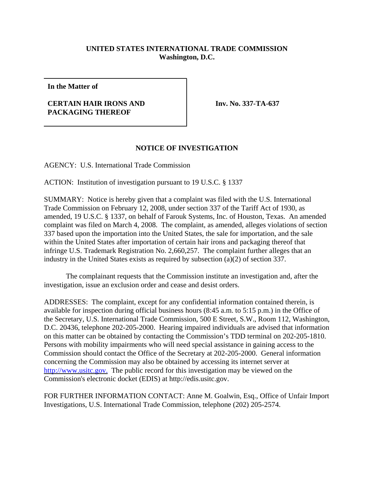## **UNITED STATES INTERNATIONAL TRADE COMMISSION Washington, D.C.**

**In the Matter of**

## **CERTAIN HAIR IRONS AND PACKAGING THEREOF**

**Inv. No. 337-TA-637**

## **NOTICE OF INVESTIGATION**

AGENCY: U.S. International Trade Commission

ACTION: Institution of investigation pursuant to 19 U.S.C. § 1337

SUMMARY: Notice is hereby given that a complaint was filed with the U.S. International Trade Commission on February 12, 2008, under section 337 of the Tariff Act of 1930, as amended, 19 U.S.C. § 1337, on behalf of Farouk Systems, Inc. of Houston, Texas. An amended complaint was filed on March 4, 2008. The complaint, as amended, alleges violations of section 337 based upon the importation into the United States, the sale for importation, and the sale within the United States after importation of certain hair irons and packaging thereof that infringe U.S. Trademark Registration No. 2,660,257. The complaint further alleges that an industry in the United States exists as required by subsection (a)(2) of section 337.

The complainant requests that the Commission institute an investigation and, after the investigation, issue an exclusion order and cease and desist orders.

ADDRESSES: The complaint, except for any confidential information contained therein, is available for inspection during official business hours (8:45 a.m. to 5:15 p.m.) in the Office of the Secretary, U.S. International Trade Commission, 500 E Street, S.W., Room 112, Washington, D.C. 20436, telephone 202-205-2000. Hearing impaired individuals are advised that information on this matter can be obtained by contacting the Commission's TDD terminal on 202-205-1810. Persons with mobility impairments who will need special assistance in gaining access to the Commission should contact the Office of the Secretary at 202-205-2000. General information concerning the Commission may also be obtained by accessing its internet server at http://www.usitc.gov. The public record for this investigation may be viewed on the Commission's electronic docket (EDIS) at http://edis.usitc.gov.

FOR FURTHER INFORMATION CONTACT: Anne M. Goalwin, Esq., Office of Unfair Import Investigations, U.S. International Trade Commission, telephone (202) 205-2574.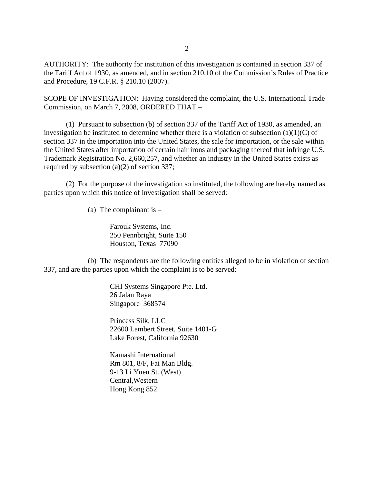AUTHORITY: The authority for institution of this investigation is contained in section 337 of the Tariff Act of 1930, as amended, and in section 210.10 of the Commission's Rules of Practice and Procedure, 19 C.F.R. § 210.10 (2007).

SCOPE OF INVESTIGATION: Having considered the complaint, the U.S. International Trade Commission, on March 7, 2008, ORDERED THAT –

(1) Pursuant to subsection (b) of section 337 of the Tariff Act of 1930, as amended, an investigation be instituted to determine whether there is a violation of subsection  $(a)(1)(C)$  of section 337 in the importation into the United States, the sale for importation, or the sale within the United States after importation of certain hair irons and packaging thereof that infringe U.S. Trademark Registration No. 2,660,257, and whether an industry in the United States exists as required by subsection (a)(2) of section 337;

(2) For the purpose of the investigation so instituted, the following are hereby named as parties upon which this notice of investigation shall be served:

(a) The complainant is  $-$ 

Farouk Systems, Inc. 250 Pennbright, Suite 150 Houston, Texas 77090

(b) The respondents are the following entities alleged to be in violation of section 337, and are the parties upon which the complaint is to be served:

> CHI Systems Singapore Pte. Ltd. 26 Jalan Raya Singapore 368574

Princess Silk, LLC 22600 Lambert Street, Suite 1401-G Lake Forest, California 92630

Kamashi International Rm 801, 8/F, Fai Man Bldg. 9-13 Li Yuen St. (West) Central,Western Hong Kong 852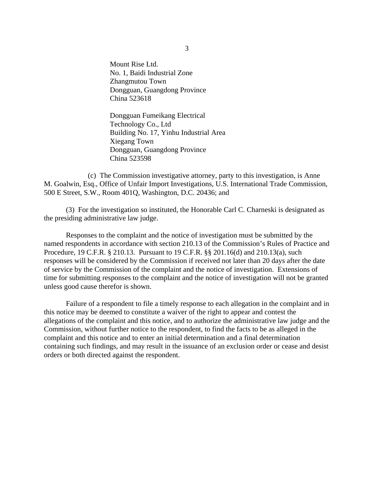Mount Rise Ltd. No. 1, Baidi Industrial Zone Zhangmutou Town Dongguan, Guangdong Province China 523618

Dongguan Fumeikang Electrical Technology Co., Ltd Building No. 17, Yinhu Industrial Area Xiegang Town Dongguan, Guangdong Province China 523598

(c) The Commission investigative attorney, party to this investigation, is Anne M. Goalwin, Esq., Office of Unfair Import Investigations, U.S. International Trade Commission, 500 E Street, S.W., Room 401Q, Washington, D.C. 20436; and

(3) For the investigation so instituted, the Honorable Carl C. Charneski is designated as the presiding administrative law judge.

Responses to the complaint and the notice of investigation must be submitted by the named respondents in accordance with section 210.13 of the Commission's Rules of Practice and Procedure, 19 C.F.R. § 210.13. Pursuant to 19 C.F.R. §§ 201.16(d) and 210.13(a), such responses will be considered by the Commission if received not later than 20 days after the date of service by the Commission of the complaint and the notice of investigation. Extensions of time for submitting responses to the complaint and the notice of investigation will not be granted unless good cause therefor is shown.

Failure of a respondent to file a timely response to each allegation in the complaint and in this notice may be deemed to constitute a waiver of the right to appear and contest the allegations of the complaint and this notice, and to authorize the administrative law judge and the Commission, without further notice to the respondent, to find the facts to be as alleged in the complaint and this notice and to enter an initial determination and a final determination containing such findings, and may result in the issuance of an exclusion order or cease and desist orders or both directed against the respondent.